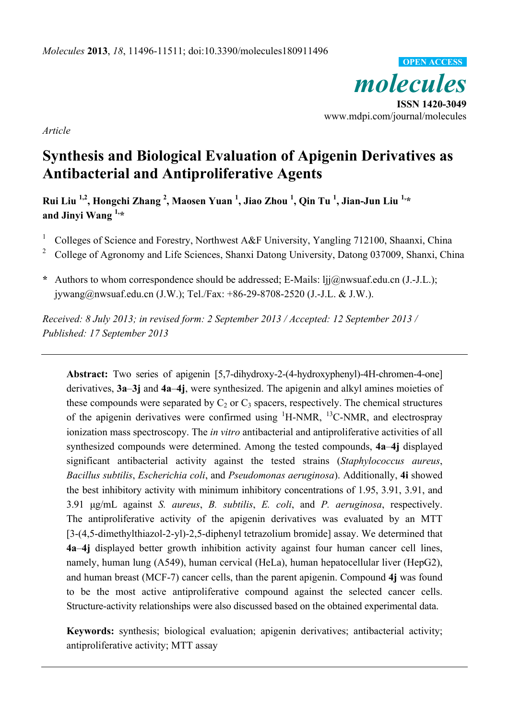*molecules*  **ISSN 1420-3049**  www.mdpi.com/journal/molecules **OPEN ACCESS**

*Article* 

# **Synthesis and Biological Evaluation of Apigenin Derivatives as Antibacterial and Antiproliferative Agents**

**Rui Liu 1,2, Hongchi Zhang 2 , Maosen Yuan 1 , Jiao Zhou <sup>1</sup> , Qin Tu 1 , Jian-Jun Liu 1,\* and Jinyi Wang 1,\*** 

- 1 Colleges of Science and Forestry, Northwest A&F University, Yangling 712100, Shaanxi, China
- 2 College of Agronomy and Life Sciences, Shanxi Datong University, Datong 037009, Shanxi, China
- **\*** Authors to whom correspondence should be addressed; E-Mails: ljj@nwsuaf.edu.cn (J.-J.L.); jywang@nwsuaf.edu.cn (J.W.); Tel./Fax: +86-29-8708-2520 (J.-J.L. & J.W.).

*Received: 8 July 2013; in revised form: 2 September 2013 / Accepted: 12 September 2013 / Published: 17 September 2013* 

**Abstract:** Two series of apigenin [5,7-dihydroxy-2-(4-hydroxyphenyl)-4H-chromen-4-one] derivatives, **3a**–**3j** and **4a**–**4j**, were synthesized. The apigenin and alkyl amines moieties of these compounds were separated by  $C_2$  or  $C_3$  spacers, respectively. The chemical structures of the apigenin derivatives were confirmed using  ${}^{1}$ H-NMR,  ${}^{13}$ C-NMR, and electrospray ionization mass spectroscopy. The *in vitro* antibacterial and antiproliferative activities of all synthesized compounds were determined. Among the tested compounds, **4a**–**4j** displayed significant antibacterial activity against the tested strains (*Staphylococcus aureus*, *Bacillus subtilis*, *Escherichia coli*, and *Pseudomonas aeruginosa*). Additionally, **4i** showed the best inhibitory activity with minimum inhibitory concentrations of 1.95, 3.91, 3.91, and 3.91 μg/mL against *S. aureus*, *B. subtilis*, *E. coli*, and *P. aeruginosa*, respectively. The antiproliferative activity of the apigenin derivatives was evaluated by an MTT [3-(4,5-dimethylthiazol-2-yl)-2,5-diphenyl tetrazolium bromide] assay. We determined that **4a**–**4j** displayed better growth inhibition activity against four human cancer cell lines, namely, human lung (A549), human cervical (HeLa), human hepatocellular liver (HepG2), and human breast (MCF-7) cancer cells, than the parent apigenin. Compound **4j** was found to be the most active antiproliferative compound against the selected cancer cells. Structure-activity relationships were also discussed based on the obtained experimental data.

**Keywords:** synthesis; biological evaluation; apigenin derivatives; antibacterial activity; antiproliferative activity; MTT assay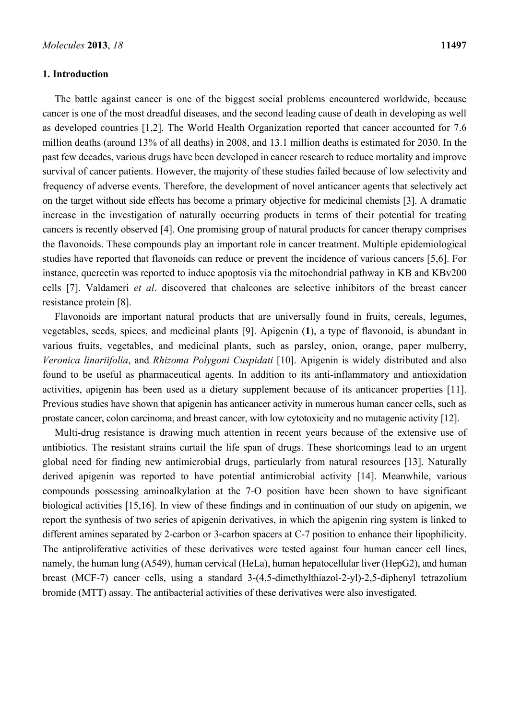#### **1. Introduction**

The battle against cancer is one of the biggest social problems encountered worldwide, because cancer is one of the most dreadful diseases, and the second leading cause of death in developing as well as developed countries [1,2]. The World Health Organization reported that cancer accounted for 7.6 million deaths (around 13% of all deaths) in 2008, and 13.1 million deaths is estimated for 2030. In the past few decades, various drugs have been developed in cancer research to reduce mortality and improve survival of cancer patients. However, the majority of these studies failed because of low selectivity and frequency of adverse events. Therefore, the development of novel anticancer agents that selectively act on the target without side effects has become a primary objective for medicinal chemists [3]. A dramatic increase in the investigation of naturally occurring products in terms of their potential for treating cancers is recently observed [4]. One promising group of natural products for cancer therapy comprises the flavonoids. These compounds play an important role in cancer treatment. Multiple epidemiological studies have reported that flavonoids can reduce or prevent the incidence of various cancers [5,6]. For instance, quercetin was reported to induce apoptosis via the mitochondrial pathway in KB and KBv200 cells [7]. Valdameri *et al*. discovered that chalcones are selective inhibitors of the breast cancer resistance protein [8].

Flavonoids are important natural products that are universally found in fruits, cereals, legumes, vegetables, seeds, spices, and medicinal plants [9]. Apigenin (**1**), a type of flavonoid, is abundant in various fruits, vegetables, and medicinal plants, such as parsley, onion, orange, paper mulberry, *Veronica linariifolia*, and *Rhizoma Polygoni Cuspidati* [10]. Apigenin is widely distributed and also found to be useful as pharmaceutical agents. In addition to its anti-inflammatory and antioxidation activities, apigenin has been used as a dietary supplement because of its anticancer properties [11]. Previous studies have shown that apigenin has anticancer activity in numerous human cancer cells, such as prostate cancer, colon carcinoma, and breast cancer, with low cytotoxicity and no mutagenic activity [12].

Multi-drug resistance is drawing much attention in recent years because of the extensive use of antibiotics. The resistant strains curtail the life span of drugs. These shortcomings lead to an urgent global need for finding new antimicrobial drugs, particularly from natural resources [13]. Naturally derived apigenin was reported to have potential antimicrobial activity [14]. Meanwhile, various compounds possessing aminoalkylation at the 7-O position have been shown to have significant biological activities [15,16]. In view of these findings and in continuation of our study on apigenin, we report the synthesis of two series of apigenin derivatives, in which the apigenin ring system is linked to different amines separated by 2-carbon or 3-carbon spacers at C-7 position to enhance their lipophilicity. The antiproliferative activities of these derivatives were tested against four human cancer cell lines, namely, the human lung (A549), human cervical (HeLa), human hepatocellular liver (HepG2), and human breast (MCF-7) cancer cells, using a standard 3-(4,5-dimethylthiazol-2-yl)-2,5-diphenyl tetrazolium bromide (MTT) assay. The antibacterial activities of these derivatives were also investigated.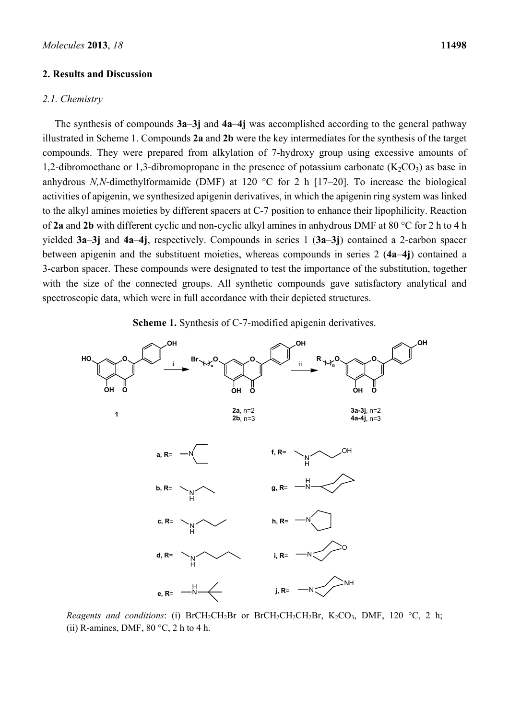#### **2. Results and Discussion**

#### *2.1. Chemistry*

The synthesis of compounds **3a**–**3j** and **4a**–**4j** was accomplished according to the general pathway illustrated in Scheme 1. Compounds **2a** and **2b** were the key intermediates for the synthesis of the target compounds. They were prepared from alkylation of 7-hydroxy group using excessive amounts of 1,2-dibromoethane or 1,3-dibromopropane in the presence of potassium carbonate  $(K_2CO_3)$  as base in anhydrous *N,N*-dimethylformamide (DMF) at 120 °C for 2 h [17–20]. To increase the biological activities of apigenin, we synthesized apigenin derivatives, in which the apigenin ring system was linked to the alkyl amines moieties by different spacers at C-7 position to enhance their lipophilicity. Reaction of **2a** and **2b** with different cyclic and non-cyclic alkyl amines in anhydrous DMF at 80 °C for 2 h to 4 h yielded **3a**–**3j** and **4a**–**4j**, respectively. Compounds in series 1 (**3a**–**3j**) contained a 2-carbon spacer between apigenin and the substituent moieties, whereas compounds in series 2 (**4a**–**4j**) contained a 3-carbon spacer. These compounds were designated to test the importance of the substitution, together with the size of the connected groups. All synthetic compounds gave satisfactory analytical and spectroscopic data, which were in full accordance with their depicted structures.

**Scheme 1.** Synthesis of C-7-modified apigenin derivatives.



*Reagents and conditions*: (i) BrCH<sub>2</sub>CH<sub>2</sub>Br or BrCH<sub>2</sub>CH<sub>2</sub>CH<sub>2</sub>Br, K<sub>2</sub>CO<sub>3</sub>, DMF, 120 °C, 2 h; (ii) R-amines, DMF,  $80 °C$ , 2 h to 4 h.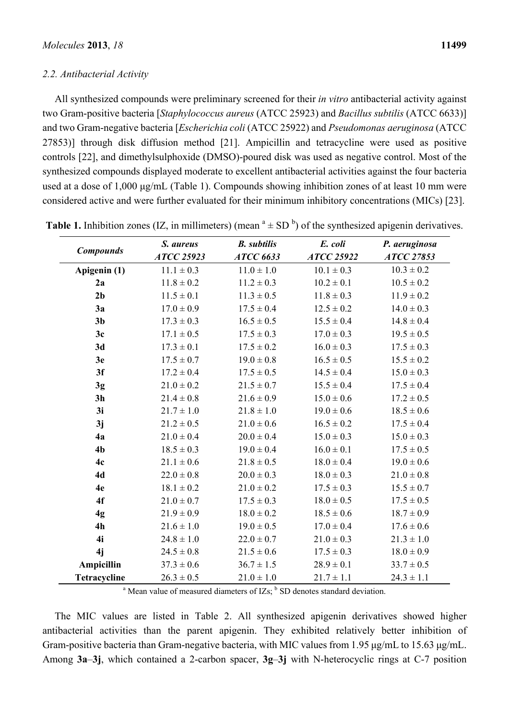#### *2.2. Antibacterial Activity*

All synthesized compounds were preliminary screened for their *in vitro* antibacterial activity against two Gram-positive bacteria [*Staphylococcus aureus* (ATCC 25923) and *Bacillus subtilis* (ATCC 6633)] and two Gram-negative bacteria [*Escherichia coli* (ATCC 25922) and *Pseudomonas aeruginosa* (ATCC 27853)] through disk diffusion method [21]. Ampicillin and tetracycline were used as positive controls [22], and dimethylsulphoxide (DMSO)-poured disk was used as negative control. Most of the synthesized compounds displayed moderate to excellent antibacterial activities against the four bacteria used at a dose of 1,000 μg/mL (Table 1). Compounds showing inhibition zones of at least 10 mm were considered active and were further evaluated for their minimum inhibitory concentrations (MICs) [23].

| <b>Compounds</b>    | S. aureus      | <b>B.</b> subtilis | E. coli           | P. aeruginosa     |
|---------------------|----------------|--------------------|-------------------|-------------------|
|                     | ATCC 25923     | <b>ATCC 6633</b>   | <b>ATCC 25922</b> | <b>ATCC 27853</b> |
| Apigenin (1)        | $11.1 \pm 0.3$ | $11.0 \pm 1.0$     | $10.1 \pm 0.3$    | $10.3 \pm 0.2$    |
| 2a                  | $11.8 \pm 0.2$ | $11.2 \pm 0.3$     | $10.2 \pm 0.1$    | $10.5 \pm 0.2$    |
| 2 <sub>b</sub>      | $11.5 \pm 0.1$ | $11.3 \pm 0.5$     | $11.8 \pm 0.3$    | $11.9 \pm 0.2$    |
| 3a                  | $17.0 \pm 0.9$ | $17.5 \pm 0.4$     | $12.5 \pm 0.2$    | $14.0 \pm 0.3$    |
| 3 <sub>b</sub>      | $17.3 \pm 0.3$ | $16.5 \pm 0.5$     | $15.5 \pm 0.4$    | $14.8 \pm 0.4$    |
| 3c                  | $17.1 \pm 0.5$ | $17.5 \pm 0.3$     | $17.0 \pm 0.3$    | $19.5 \pm 0.5$    |
| 3d                  | $17.3 \pm 0.1$ | $17.5 \pm 0.2$     | $16.0 \pm 0.3$    | $17.5 \pm 0.3$    |
| 3e                  | $17.5 \pm 0.7$ | $19.0 \pm 0.8$     | $16.5 \pm 0.5$    | $15.5 \pm 0.2$    |
| 3f                  | $17.2 \pm 0.4$ | $17.5 \pm 0.5$     | $14.5 \pm 0.4$    | $15.0 \pm 0.3$    |
| 3g                  | $21.0 \pm 0.2$ | $21.5 \pm 0.7$     | $15.5 \pm 0.4$    | $17.5 \pm 0.4$    |
| 3 <sub>h</sub>      | $21.4 \pm 0.8$ | $21.6 \pm 0.9$     | $15.0 \pm 0.6$    | $17.2 \pm 0.5$    |
| 3i                  | $21.7 \pm 1.0$ | $21.8 \pm 1.0$     | $19.0 \pm 0.6$    | $18.5 \pm 0.6$    |
| 3j                  | $21.2 \pm 0.5$ | $21.0 \pm 0.6$     | $16.5 \pm 0.2$    | $17.5 \pm 0.4$    |
| 4a                  | $21.0 \pm 0.4$ | $20.0 \pm 0.4$     | $15.0 \pm 0.3$    | $15.0 \pm 0.3$    |
| 4 <sub>b</sub>      | $18.5 \pm 0.3$ | $19.0 \pm 0.4$     | $16.0 \pm 0.1$    | $17.5 \pm 0.5$    |
| 4c                  | $21.1 \pm 0.6$ | $21.8 \pm 0.5$     | $18.0 \pm 0.4$    | $19.0 \pm 0.6$    |
| 4d                  | $22.0 \pm 0.8$ | $20.0 \pm 0.3$     | $18.0 \pm 0.3$    | $21.0 \pm 0.8$    |
| 4e                  | $18.1 \pm 0.2$ | $21.0 \pm 0.2$     | $17.5 \pm 0.3$    | $15.5 \pm 0.7$    |
| 4f                  | $21.0 \pm 0.7$ | $17.5 \pm 0.3$     | $18.0 \pm 0.5$    | $17.5 \pm 0.5$    |
| 4g                  | $21.9 \pm 0.9$ | $18.0 \pm 0.2$     | $18.5 \pm 0.6$    | $18.7 \pm 0.9$    |
| 4h                  | $21.6 \pm 1.0$ | $19.0 \pm 0.5$     | $17.0 \pm 0.4$    | $17.6 \pm 0.6$    |
| 4i                  | $24.8 \pm 1.0$ | $22.0 \pm 0.7$     | $21.0 \pm 0.3$    | $21.3 \pm 1.0$    |
| 4j                  | $24.5 \pm 0.8$ | $21.5 \pm 0.6$     | $17.5 \pm 0.3$    | $18.0 \pm 0.9$    |
| Ampicillin          | $37.3 \pm 0.6$ | $36.7 \pm 1.5$     | $28.9 \pm 0.1$    | $33.7 \pm 0.5$    |
| <b>Tetracycline</b> | $26.3 \pm 0.5$ | $21.0 \pm 1.0$     | $21.7 \pm 1.1$    | $24.3 \pm 1.1$    |

| <b>Table 1.</b> Inhibition zones (IZ, in millimeters) (mean $a \pm SD$ <sup>b</sup> ) of the synthesized apigenin derivatives. |  |
|--------------------------------------------------------------------------------------------------------------------------------|--|
|--------------------------------------------------------------------------------------------------------------------------------|--|

<sup>a</sup> Mean value of measured diameters of IZs;  $<sup>b</sup>$  SD denotes standard deviation.</sup>

The MIC values are listed in Table 2. All synthesized apigenin derivatives showed higher antibacterial activities than the parent apigenin. They exhibited relatively better inhibition of Gram-positive bacteria than Gram-negative bacteria, with MIC values from 1.95 μg/mL to 15.63 μg/mL. Among **3a**–**3j**, which contained a 2-carbon spacer, **3g**–**3j** with N-heterocyclic rings at C-7 position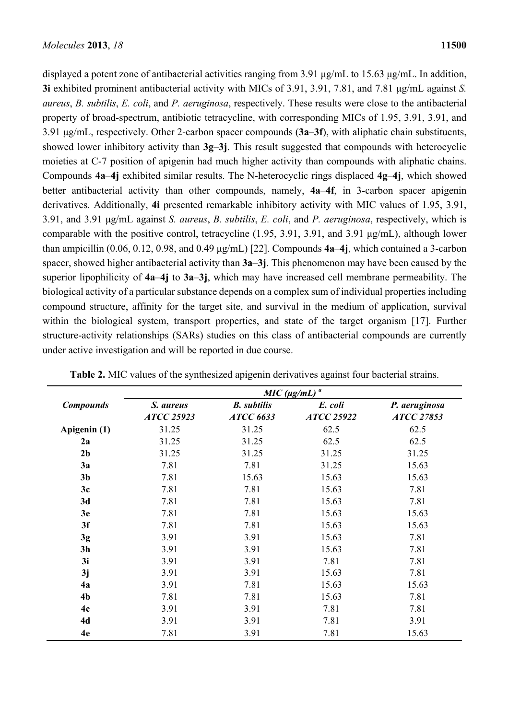displayed a potent zone of antibacterial activities ranging from 3.91 μg/mL to 15.63 μg/mL. In addition, **3i** exhibited prominent antibacterial activity with MICs of 3.91, 3.91, 7.81, and 7.81 μg/mL against *S. aureus*, *B. subtilis*, *E. coli*, and *P. aeruginosa*, respectively. These results were close to the antibacterial property of broad-spectrum, antibiotic tetracycline, with corresponding MICs of 1.95, 3.91, 3.91, and 3.91 μg/mL, respectively. Other 2-carbon spacer compounds (**3a**–**3f**), with aliphatic chain substituents, showed lower inhibitory activity than **3g**–**3j**. This result suggested that compounds with heterocyclic moieties at C-7 position of apigenin had much higher activity than compounds with aliphatic chains. Compounds **4a**–**4j** exhibited similar results. The N-heterocyclic rings displaced **4g**–**4j**, which showed better antibacterial activity than other compounds, namely, **4a**–**4f**, in 3-carbon spacer apigenin derivatives. Additionally, **4i** presented remarkable inhibitory activity with MIC values of 1.95, 3.91, 3.91, and 3.91 μg/mL against *S. aureus*, *B. subtilis*, *E. coli*, and *P. aeruginosa*, respectively, which is comparable with the positive control, tetracycline (1.95, 3.91, 3.91, and 3.91 μg/mL), although lower than ampicillin (0.06, 0.12, 0.98, and 0.49 μg/mL) [22]. Compounds **4a**–**4j**, which contained a 3-carbon spacer, showed higher antibacterial activity than **3a**–**3j**. This phenomenon may have been caused by the superior lipophilicity of **4a**–**4j** to **3a**–**3j**, which may have increased cell membrane permeability. The biological activity of a particular substance depends on a complex sum of individual properties including compound structure, affinity for the target site, and survival in the medium of application, survival within the biological system, transport properties, and state of the target organism [17]. Further structure-activity relationships (SARs) studies on this class of antibacterial compounds are currently under active investigation and will be reported in due course.

|                  | $MIC (µg/mL)$ <sup>a</sup>     |                                        |                              |                             |
|------------------|--------------------------------|----------------------------------------|------------------------------|-----------------------------|
| <b>Compounds</b> | S. aureus<br><b>ATCC 25923</b> | <b>B.</b> subtilis<br><b>ATCC 6633</b> | E. coli<br><b>ATCC 25922</b> | P. aeruginosa<br>ATCC 27853 |
| Apigenin (1)     | 31.25                          | 31.25                                  | 62.5                         | 62.5                        |
| 2a               | 31.25                          | 31.25                                  | 62.5                         | 62.5                        |
| 2 <sub>b</sub>   | 31.25                          | 31.25                                  | 31.25                        | 31.25                       |
| 3a               | 7.81                           | 7.81                                   | 31.25                        | 15.63                       |
| 3 <sub>b</sub>   | 7.81                           | 15.63                                  | 15.63                        | 15.63                       |
| 3c               | 7.81                           | 7.81                                   | 15.63                        | 7.81                        |
| 3d               | 7.81                           | 7.81                                   | 15.63                        | 7.81                        |
| 3e               | 7.81                           | 7.81                                   | 15.63                        | 15.63                       |
| 3f               | 7.81                           | 7.81                                   | 15.63                        | 15.63                       |
| 3g               | 3.91                           | 3.91                                   | 15.63                        | 7.81                        |
| 3 <sub>h</sub>   | 3.91                           | 3.91                                   | 15.63                        | 7.81                        |
| 3i               | 3.91                           | 3.91                                   | 7.81                         | 7.81                        |
| 3j               | 3.91                           | 3.91                                   | 15.63                        | 7.81                        |
| 4a               | 3.91                           | 7.81                                   | 15.63                        | 15.63                       |
| 4 <sub>b</sub>   | 7.81                           | 7.81                                   | 15.63                        | 7.81                        |
| 4c               | 3.91                           | 3.91                                   | 7.81                         | 7.81                        |
| 4d               | 3.91                           | 3.91                                   | 7.81                         | 3.91                        |
| 4e               | 7.81                           | 3.91                                   | 7.81                         | 15.63                       |

**Table 2.** MIC values of the synthesized apigenin derivatives against four bacterial strains.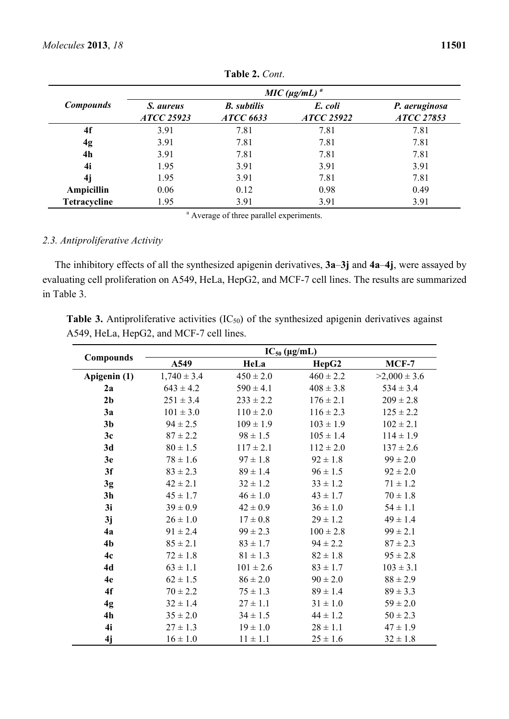| <b>Compounds</b> | $MIC (µg/mL)$ <sup>a</sup>     |                                        |                              |                             |
|------------------|--------------------------------|----------------------------------------|------------------------------|-----------------------------|
|                  | S. aureus<br><b>ATCC 25923</b> | <b>B.</b> subtilis<br><b>ATCC 6633</b> | E. coli<br><b>ATCC 25922</b> | P. aeruginosa<br>ATCC 27853 |
| 4f               | 3.91                           | 7.81                                   | 7.81                         | 7.81                        |
| 4g               | 3.91                           | 7.81                                   | 7.81                         | 7.81                        |
| 4h               | 3.91                           | 7.81                                   | 7.81                         | 7.81                        |
| 4i               | 1.95                           | 3.91                                   | 3.91                         | 3.91                        |
| 4j               | 1.95                           | 3.91                                   | 7.81                         | 7.81                        |
| Ampicillin       | 0.06                           | 0.12                                   | 0.98                         | 0.49                        |
| Tetracycline     | 1.95                           | 3.91                                   | 3.91                         | 3.91                        |

**Table 2.** *Cont*.

<sup>a</sup> Average of three parallel experiments.

## *2.3. Antiproliferative Activity*

The inhibitory effects of all the synthesized apigenin derivatives, **3a**–**3j** and **4a**–**4j**, were assayed by evaluating cell proliferation on A549, HeLa, HepG2, and MCF-7 cell lines. The results are summarized in Table 3.

Table 3. Antiproliferative activities (IC<sub>50</sub>) of the synthesized apigenin derivatives against A549, HeLa, HepG2, and MCF-7 cell lines.

|                  | $IC_{50} (\mu g/mL)$ |               |               |                  |  |
|------------------|----------------------|---------------|---------------|------------------|--|
| <b>Compounds</b> | A549                 | HeLa          | HepG2         | $MCF-7$          |  |
| Apigenin (1)     | $1,740 \pm 3.4$      | $450 \pm 2.0$ | $460 \pm 2.2$ | $>2,000 \pm 3.6$ |  |
| 2a               | $643 \pm 4.2$        | $590 \pm 4.1$ | $408 \pm 3.8$ | $534 \pm 3.4$    |  |
| 2 <sub>b</sub>   | $251 \pm 3.4$        | $233 \pm 2.2$ | $176 \pm 2.1$ | $209 \pm 2.8$    |  |
| 3a               | $101 \pm 3.0$        | $110 \pm 2.0$ | $116 \pm 2.3$ | $125 \pm 2.2$    |  |
| 3 <sub>b</sub>   | $94 \pm 2.5$         | $109 \pm 1.9$ | $103 \pm 1.9$ | $102 \pm 2.1$    |  |
| 3c               | $87 \pm 2.2$         | $98 \pm 1.5$  | $105 \pm 1.4$ | $114 \pm 1.9$    |  |
| 3d               | $80 \pm 1.5$         | $117 \pm 2.1$ | $112 \pm 2.0$ | $137 \pm 2.6$    |  |
| 3e               | $78 \pm 1.6$         | $97 \pm 1.8$  | $92 \pm 1.8$  | $99 \pm 2.0$     |  |
| 3f               | $83 \pm 2.3$         | $89 \pm 1.4$  | $96 \pm 1.5$  | $92 \pm 2.0$     |  |
| 3g               | $42 \pm 2.1$         | $32 \pm 1.2$  | $33 \pm 1.2$  | $71 \pm 1.2$     |  |
| 3 <sub>h</sub>   | $45 \pm 1.7$         | $46 \pm 1.0$  | $43 \pm 1.7$  | $70 \pm 1.8$     |  |
| 3i               | $39 \pm 0.9$         | $42 \pm 0.9$  | $36 \pm 1.0$  | $54 \pm 1.1$     |  |
| 3j               | $26 \pm 1.0$         | $17 \pm 0.8$  | $29 \pm 1.2$  | $49 \pm 1.4$     |  |
| 4a               | $91 \pm 2.4$         | $99 \pm 2.3$  | $100 \pm 2.8$ | $99 \pm 2.1$     |  |
| 4 <sub>b</sub>   | $85 \pm 2.1$         | $83 \pm 1.7$  | $94 \pm 2.2$  | $87 \pm 2.3$     |  |
| 4c               | $72 \pm 1.8$         | $81 \pm 1.3$  | $82 \pm 1.8$  | $95 \pm 2.8$     |  |
| 4d               | $63 \pm 1.1$         | $101 \pm 2.6$ | $83 \pm 1.7$  | $103 \pm 3.1$    |  |
| 4e               | $62 \pm 1.5$         | $86 \pm 2.0$  | $90 \pm 2.0$  | $88 \pm 2.9$     |  |
| 4f               | $70 \pm 2.2$         | $75 \pm 1.3$  | $89 \pm 1.4$  | $89 \pm 3.3$     |  |
| 4g               | $32 \pm 1.4$         | $27 \pm 1.1$  | $31 \pm 1.0$  | $59 \pm 2.0$     |  |
| 4h               | $35 \pm 2.0$         | $34 \pm 1.5$  | $44 \pm 1.2$  | $50 \pm 2.3$     |  |
| 4i               | $27 \pm 1.3$         | $19 \pm 1.0$  | $28 \pm 1.1$  | $47 \pm 1.9$     |  |
| 4j               | $16 \pm 1.0$         | $11 \pm 1.1$  | $25 \pm 1.6$  | $32 \pm 1.8$     |  |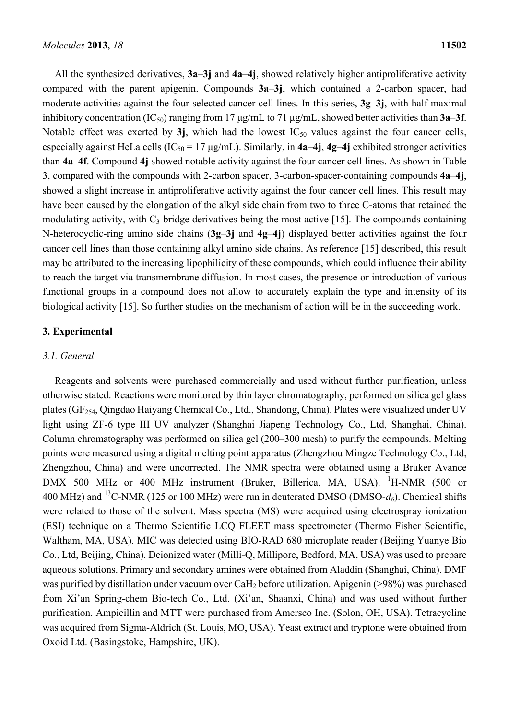All the synthesized derivatives, **3a**–**3j** and **4a**–**4j**, showed relatively higher antiproliferative activity compared with the parent apigenin. Compounds **3a**–**3j**, which contained a 2-carbon spacer, had moderate activities against the four selected cancer cell lines. In this series, **3g**–**3j**, with half maximal inhibitory concentration (IC50) ranging from 17 μg/mL to 71 μg/mL, showed better activities than **3a**–**3f**. Notable effect was exerted by  $3j$ , which had the lowest  $IC_{50}$  values against the four cancer cells, especially against HeLa cells  $(IC_{50} = 17 \mu g/mL)$ . Similarly, in  $4a-4j$ ,  $4g-4j$  exhibited stronger activities than **4a**–**4f**. Compound **4j** showed notable activity against the four cancer cell lines. As shown in Table 3, compared with the compounds with 2-carbon spacer, 3-carbon-spacer-containing compounds **4a**–**4j**, showed a slight increase in antiproliferative activity against the four cancer cell lines. This result may have been caused by the elongation of the alkyl side chain from two to three C-atoms that retained the modulating activity, with  $C_3$ -bridge derivatives being the most active [15]. The compounds containing N-heterocyclic-ring amino side chains (**3g**–**3j** and **4g**–**4j**) displayed better activities against the four cancer cell lines than those containing alkyl amino side chains. As reference [15] described, this result may be attributed to the increasing lipophilicity of these compounds, which could influence their ability to reach the target via transmembrane diffusion. In most cases, the presence or introduction of various functional groups in a compound does not allow to accurately explain the type and intensity of its biological activity [15]. So further studies on the mechanism of action will be in the succeeding work.

#### **3. Experimental**

#### *3.1. General*

Reagents and solvents were purchased commercially and used without further purification, unless otherwise stated. Reactions were monitored by thin layer chromatography, performed on silica gel glass plates (GF254, Qingdao Haiyang Chemical Co., Ltd., Shandong, China). Plates were visualized under UV light using ZF-6 type III UV analyzer (Shanghai Jiapeng Technology Co., Ltd, Shanghai, China). Column chromatography was performed on silica gel (200–300 mesh) to purify the compounds. Melting points were measured using a digital melting point apparatus (Zhengzhou Mingze Technology Co., Ltd, Zhengzhou, China) and were uncorrected. The NMR spectra were obtained using a Bruker Avance DMX 500 MHz or 400 MHz instrument (Bruker, Billerica, MA, USA). <sup>1</sup>H-NMR (500 or 400 MHz) and <sup>13</sup>C-NMR (125 or 100 MHz) were run in deuterated DMSO (DMSO- $d_6$ ). Chemical shifts were related to those of the solvent. Mass spectra (MS) were acquired using electrospray ionization (ESI) technique on a Thermo Scientific LCQ FLEET mass spectrometer (Thermo Fisher Scientific, Waltham, MA, USA). MIC was detected using BIO-RAD 680 microplate reader (Beijing Yuanye Bio Co., Ltd, Beijing, China). Deionized water (Milli-Q, Millipore, Bedford, MA, USA) was used to prepare aqueous solutions. Primary and secondary amines were obtained from Aladdin (Shanghai, China). DMF was purified by distillation under vacuum over CaH<sub>2</sub> before utilization. Apigenin (>98%) was purchased from Xi'an Spring-chem Bio-tech Co., Ltd. (Xi'an, Shaanxi, China) and was used without further purification. Ampicillin and MTT were purchased from Amersco Inc. (Solon, OH, USA). Tetracycline was acquired from Sigma-Aldrich (St. Louis, MO, USA). Yeast extract and tryptone were obtained from Oxoid Ltd. (Basingstoke, Hampshire, UK).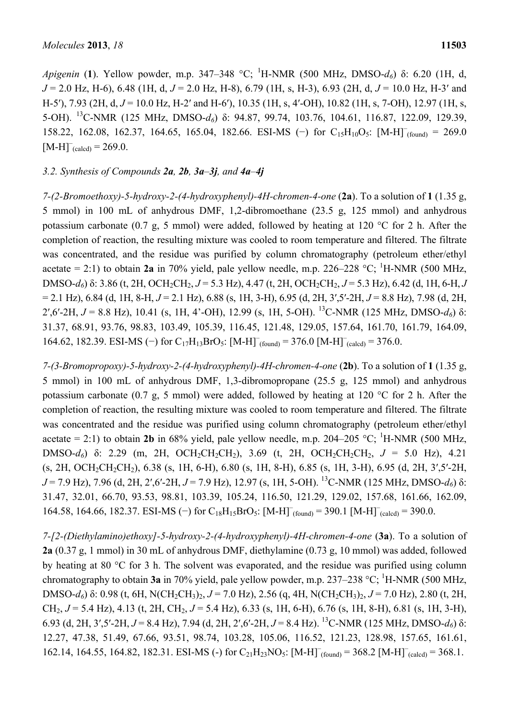*Apigenin* (**1**). Yellow powder, m.p. 347–348 °C; <sup>1</sup> H-NMR (500 MHz, DMSO-*d6*) δ: 6.20 (1H, d, *J* = 2.0 Hz, H-6), 6.48 (1H, d, *J* = 2.0 Hz, H-8), 6.79 (1H, s, H-3), 6.93 (2H, d, *J* = 10.0 Hz, H-3′ and H-5'), 7.93 (2H, d,  $J = 10.0$  Hz, H-2' and H-6'), 10.35 (1H, s, 4'-OH), 10.82 (1H, s, 7-OH), 12.97 (1H, s, 5-OH). 13C-NMR (125 MHz, DMSO-*d6*) δ: 94.87, 99.74, 103.76, 104.61, 116.87, 122.09, 129.39, 158.22, 162.08, 162.37, 164.65, 165.04, 182.66. ESI-MS (−) for C<sub>15</sub>H<sub>10</sub>O<sub>5</sub>: [M-H]<sup>-</sup><sub>(found)</sub> = 269.0  $[M-H]^-_{(calcd)} = 269.0.$ 

## *3.2. Synthesis of Compounds 2a, 2b, 3a–3j, and 4a–4j*

*7-(2-Bromoethoxy)-5-hydroxy-2-(4-hydroxyphenyl)-4H-chromen-4-one* (**2a**). To a solution of **1** (1.35 g, 5 mmol) in 100 mL of anhydrous DMF, 1,2-dibromoethane (23.5 g, 125 mmol) and anhydrous potassium carbonate (0.7 g, 5 mmol) were added, followed by heating at 120 °C for 2 h. After the completion of reaction, the resulting mixture was cooled to room temperature and filtered. The filtrate was concentrated, and the residue was purified by column chromatography (petroleum ether/ethyl acetate  $= 2:1$ ) to obtain 2a in 70% yield, pale yellow needle, m.p. 226–228 °C; <sup>1</sup>H-NMR (500 MHz, DMSO- $d_6$ ) δ: 3.86 (t, 2H, OCH<sub>2</sub>CH<sub>2</sub>, *J* = 5.3 Hz), 4.47 (t, 2H, OCH<sub>2</sub>CH<sub>2</sub>, *J* = 5.3 Hz), 6.42 (d, 1H, 6-H, *J* = 2.1 Hz), 6.84 (d, 1H, 8-H, *J* = 2.1 Hz), 6.88 (s, 1H, 3-H), 6.95 (d, 2H, 3′,5′-2H, *J* = 8.8 Hz), 7.98 (d, 2H, 2′,6′-2H, *J* = 8.8 Hz), 10.41 (s, 1H, 4'-OH), 12.99 (s, 1H, 5-OH). 13C-NMR (125 MHz, DMSO-*d6*) δ: 31.37, 68.91, 93.76, 98.83, 103.49, 105.39, 116.45, 121.48, 129.05, 157.64, 161.70, 161.79, 164.09, 164.62, 182.39. ESI-MS (−) for  $C_{17}H_{13}BrO_5$ :  $[M-H]_{(found)}^{\sim}$  = 376.0  $[M-H]_{(called)}^{\sim}$  = 376.0.

*7-(3-Bromopropoxy)-5-hydroxy-2-(4-hydroxyphenyl)-4H-chromen-4-one* (**2b**). To a solution of **1** (1.35 g, 5 mmol) in 100 mL of anhydrous DMF, 1,3-dibromopropane (25.5 g, 125 mmol) and anhydrous potassium carbonate (0.7 g, 5 mmol) were added, followed by heating at 120 °C for 2 h. After the completion of reaction, the resulting mixture was cooled to room temperature and filtered. The filtrate was concentrated and the residue was purified using column chromatography (petroleum ether/ethyl acetate = 2:1) to obtain 2**b** in 68% yield, pale yellow needle, m.p. 204–205 °C; <sup>1</sup>H-NMR (500 MHz, DMSO-*d<sub>6</sub>*) δ: 2.29 (m, 2H, OCH<sub>2</sub>CH<sub>2</sub>CH<sub>2</sub>), 3.69 (t, 2H, OCH<sub>2</sub>CH<sub>2</sub>CH<sub>2</sub>, *J* = 5.0 Hz), 4.21 (s, 2H, OCH2CH2CH2), 6.38 (s, 1H, 6-H), 6.80 (s, 1H, 8-H), 6.85 (s, 1H, 3-H), 6.95 (d, 2H, 3′,5′-2H, *J* = 7.9 Hz), 7.96 (d, 2H, 2′,6′-2H, *J* = 7.9 Hz), 12.97 (s, 1H, 5-OH). 13C-NMR (125 MHz, DMSO-*d6*) δ: 31.47, 32.01, 66.70, 93.53, 98.81, 103.39, 105.24, 116.50, 121.29, 129.02, 157.68, 161.66, 162.09, 164.58, 164.66, 182.37. ESI-MS (−) for  $C_{18}H_{15}BrO_5$ :  $[M-H]_{(found)} = 390.1 [M-H]_{(called)} = 390.0$ .

*7-[2-(Diethylamino)ethoxy]-5-hydroxy-2-(4-hydroxyphenyl)-4H-chromen-4-one* (**3a**). To a solution of **2a** (0.37 g, 1 mmol) in 30 mL of anhydrous DMF, diethylamine (0.73 g, 10 mmol) was added, followed by heating at 80 °C for 3 h. The solvent was evaporated, and the residue was purified using column chromatography to obtain 3a in 70% yield, pale yellow powder, m.p. 237–238 °C; <sup>1</sup>H-NMR (500 MHz, DMSO-*d<sub>6</sub>*) δ: 0.98 (t, 6H, N(CH<sub>2</sub>CH<sub>3</sub>)<sub>2</sub>, *J* = 7.0 Hz), 2.56 (q, 4H, N(CH<sub>2</sub>CH<sub>3</sub>)<sub>2</sub>, *J* = 7.0 Hz), 2.80 (t, 2H, CH2, *J* = 5.4 Hz), 4.13 (t, 2H, CH2, *J* = 5.4 Hz), 6.33 (s, 1H, 6-H), 6.76 (s, 1H, 8-H), 6.81 (s, 1H, 3-H), 6.93 (d, 2H, 3′,5′-2H, *J* = 8.4 Hz), 7.94 (d, 2H, 2′,6′-2H, *J* = 8.4 Hz). 13C-NMR (125 MHz, DMSO-*d6*) δ: 12.27, 47.38, 51.49, 67.66, 93.51, 98.74, 103.28, 105.06, 116.52, 121.23, 128.98, 157.65, 161.61, 162.14, 164.55, 164.82, 182.31. ESI-MS (-) for  $C_{21}H_{23}NO_5$ :  $[M-H]_{(found)}^{\sim} = 368.2 [M-H]_{(called)}^{\sim} = 368.1$ .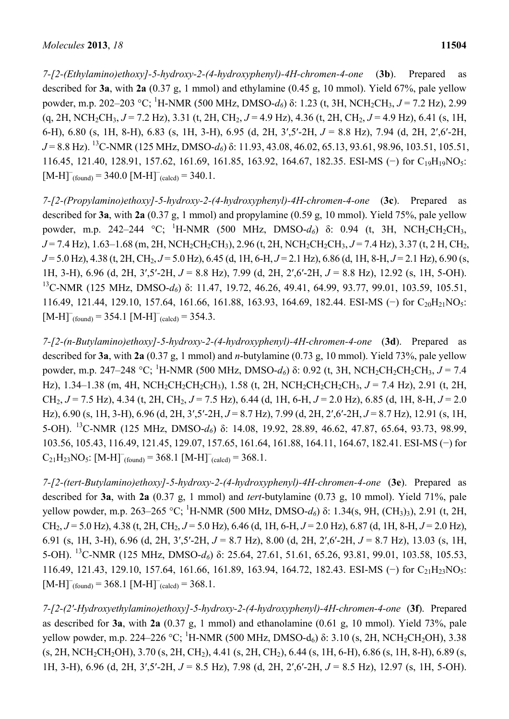*7-[2-(Ethylamino)ethoxy]-5-hydroxy-2-(4-hydroxyphenyl)-4H-chromen-4-one* (**3b**). Prepared as described for **3a**, with **2a** (0.37 g, 1 mmol) and ethylamine (0.45 g, 10 mmol). Yield 67%, pale yellow powder, m.p. 202–203 °C; 1 H-NMR (500 MHz, DMSO-*d6*) δ: 1.23 (t, 3H, NCH2CH3, *J* = 7.2 Hz), 2.99  $(q, 2H, NCH_2CH_3, J = 7.2 \text{ Hz})$ , 3.31 (t, 2H, CH<sub>2</sub>,  $J = 4.9 \text{ Hz}$ ), 4.36 (t, 2H, CH<sub>2</sub>,  $J = 4.9 \text{ Hz}$ ), 6.41 (s, 1H, 6-H), 6.80 (s, 1H, 8-H), 6.83 (s, 1H, 3-H), 6.95 (d, 2H, 3′,5′-2H, *J* = 8.8 Hz), 7.94 (d, 2H, 2′,6′-2H, *J* = 8.8 Hz). 13C-NMR (125 MHz, DMSO-*d6*) δ: 11.93, 43.08, 46.02, 65.13, 93.61, 98.96, 103.51, 105.51, 116.45, 121.40, 128.91, 157.62, 161.69, 161.85, 163.92, 164.67, 182.35. ESI-MS (−) for C19H19NO5:  $[M-H]_{\text{round}}$  = 340.0  $[M-H]_{\text{(calcd)}}$  = 340.1.

*7-[2-(Propylamino)ethoxy]-5-hydroxy-2-(4-hydroxyphenyl)-4H-chromen-4-one* (**3c**). Prepared as described for **3a**, with **2a** (0.37 g, 1 mmol) and propylamine (0.59 g, 10 mmol). Yield 75%, pale yellow powder, m.p. 242–244 °C; <sup>1</sup>H-NMR (500 MHz, DMSO-d<sub>6</sub>) δ: 0.94 (t, 3H, NCH<sub>2</sub>CH<sub>2</sub>CH<sub>3</sub>, *J* = 7.4 Hz), 1.63–1.68 (m, 2H, NCH<sub>2</sub>CH<sub>2</sub>CH<sub>3</sub>), 2.96 (t, 2H, NCH<sub>2</sub>CH<sub>2</sub>CH<sub>3</sub>, *J* = 7.4 Hz), 3.37 (t, 2 H, CH<sub>2</sub>, *J* = 5.0 Hz), 4.38 (t, 2H, CH<sub>2</sub>, *J* = 5.0 Hz), 6.45 (d, 1H, 6-H, *J* = 2.1 Hz), 6.86 (d, 1H, 8-H, *J* = 2.1 Hz), 6.90 (s, 1H, 3-H), 6.96 (d, 2H, 3′,5′-2H, *J* = 8.8 Hz), 7.99 (d, 2H, 2′,6′-2H, *J* = 8.8 Hz), 12.92 (s, 1H, 5-OH). 13C-NMR (125 MHz, DMSO-*d6*) δ: 11.47, 19.72, 46.26, 49.41, 64.99, 93.77, 99.01, 103.59, 105.51, 116.49, 121.44, 129.10, 157.64, 161.66, 161.88, 163.93, 164.69, 182.44. ESI-MS (−) for C20H21NO5:  $[M-H]_{\text{round}}$  = 354.1  $[M-H]_{\text{(calcd)}}$  = 354.3.

*7-[2-(n-Butylamino)ethoxy]-5-hydroxy-2-(4-hydroxyphenyl)-4H-chromen-4-one* (**3d**). Prepared as described for **3a**, with **2a** (0.37 g, 1 mmol) and *n*-butylamine (0.73 g, 10 mmol). Yield 73%, pale yellow powder, m.p. 247–248 °C; <sup>1</sup>H-NMR (500 MHz, DMSO-*d*<sub>6</sub>) δ: 0.92 (t, 3H, NCH<sub>2</sub>CH<sub>2</sub>CH<sub>2</sub>CH<sub>3</sub>, *J* = 7.4 Hz), 1.34–1.38 (m, 4H, NCH<sub>2</sub>CH<sub>2</sub>CH<sub>2</sub>CH<sub>3</sub>), 1.58 (t, 2H, NCH<sub>2</sub>CH<sub>2</sub>CH<sub>2</sub>CH<sub>3</sub>, *J* = 7.4 Hz), 2.91 (t, 2H, CH<sub>2</sub>,  $J = 7.5$  Hz), 4.34 (t, 2H, CH<sub>2</sub>,  $J = 7.5$  Hz), 6.44 (d, 1H, 6-H,  $J = 2.0$  Hz), 6.85 (d, 1H, 8-H,  $J = 2.0$ Hz), 6.90 (s, 1H, 3-H), 6.96 (d, 2H, 3′,5′-2H, *J* = 8.7 Hz), 7.99 (d, 2H, 2′,6′-2H, *J* = 8.7 Hz), 12.91 (s, 1H, 5-OH). 13C-NMR (125 MHz, DMSO-*d6*) δ: 14.08, 19.92, 28.89, 46.62, 47.87, 65.64, 93.73, 98.99, 103.56, 105.43, 116.49, 121.45, 129.07, 157.65, 161.64, 161.88, 164.11, 164.67, 182.41. ESI-MS (−) for  $C_{21}H_{23}NO_5$ :  $[M-H]_{(found)} = 368.1 [M-H]_{(called)} = 368.1$ .

*7-[2-(tert-Butylamino)ethoxy]-5-hydroxy-2-(4-hydroxyphenyl)-4H-chromen-4-one* (**3e**). Prepared as described for **3a**, with **2a** (0.37 g, 1 mmol) and *tert*-butylamine (0.73 g, 10 mmol). Yield 71%, pale yellow powder, m.p. 263–265 °C; <sup>1</sup>H-NMR (500 MHz, DMSO-d<sub>6</sub>) δ: 1.34(s, 9H, (CH<sub>3</sub>)<sub>3</sub>), 2.91 (t, 2H, CH2, *J* = 5.0 Hz), 4.38 (t, 2H, CH2, *J* = 5.0 Hz), 6.46 (d, 1H, 6-H, *J* = 2.0 Hz), 6.87 (d, 1H, 8-H, *J* = 2.0 Hz), 6.91 (s, 1H, 3-H), 6.96 (d, 2H, 3′,5′-2H, *J* = 8.7 Hz), 8.00 (d, 2H, 2′,6′-2H, *J* = 8.7 Hz), 13.03 (s, 1H, 5-OH). 13C-NMR (125 MHz, DMSO-*d6*) δ: 25.64, 27.61, 51.61, 65.26, 93.81, 99.01, 103.58, 105.53, 116.49, 121.43, 129.10, 157.64, 161.66, 161.89, 163.94, 164.72, 182.43. ESI-MS (−) for C21H23NO5:  $[M-H]_{\text{round}}^{\text{= 368.1 [M-H]}_{\text{(calcd)}} = 368.1.$ 

*7-[2-(2′-Hydroxyethylamino)ethoxy]-5-hydroxy-2-(4-hydroxyphenyl)-4H-chromen-4-one* (**3f**). Prepared as described for **3a**, with **2a** (0.37 g, 1 mmol) and ethanolamine (0.61 g, 10 mmol). Yield 73%, pale yellow powder, m.p. 224–226 °C; <sup>1</sup>H-NMR (500 MHz, DMSO-d<sub>6</sub>) δ: 3.10 (s, 2H, NCH<sub>2</sub>CH<sub>2</sub>OH), 3.38  $(s, 2H, NCH_2CH_2OH), 3.70 (s, 2H, CH_2), 4.41 (s, 2H, CH_2), 6.44 (s, 1H, 6-H), 6.86 (s, 1H, 8-H), 6.89 (s, 1H, 1H)$ 1H, 3-H), 6.96 (d, 2H, 3′,5′-2H, *J* = 8.5 Hz), 7.98 (d, 2H, 2′,6′-2H, *J* = 8.5 Hz), 12.97 (s, 1H, 5-OH).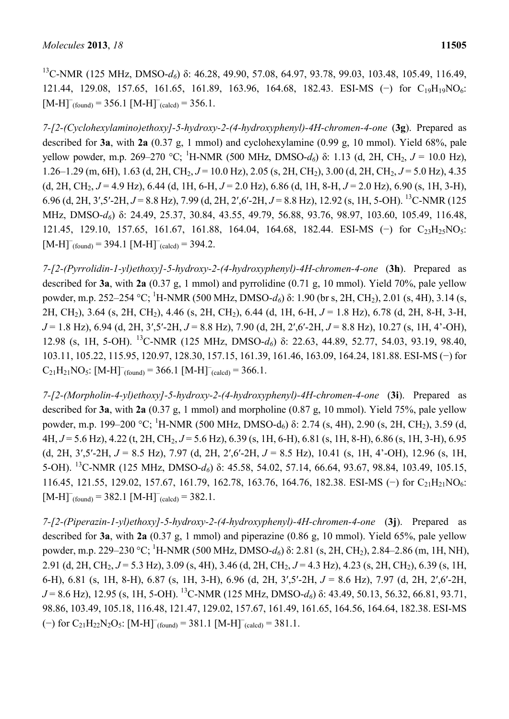<sup>13</sup>C-NMR (125 MHz, DMSO-d<sub>6</sub>) δ: 46.28, 49.90, 57.08, 64.97, 93.78, 99.03, 103.48, 105.49, 116.49, 121.44, 129.08, 157.65, 161.65, 161.89, 163.96, 164.68, 182.43. ESI-MS (−) for C19H19NO6:  $[M-H]_{\text{round}}$  = 356.1  $[M-H]_{\text{(calcd)}}$  = 356.1.

*7-[2-(Cyclohexylamino)ethoxy]-5-hydroxy-2-(4-hydroxyphenyl)-4H-chromen-4-one* (**3g**). Prepared as described for **3a**, with **2a** (0.37 g, 1 mmol) and cyclohexylamine (0.99 g, 10 mmol). Yield 68%, pale yellow powder, m.p. 269–270 °C; <sup>1</sup>H-NMR (500 MHz, DMSO-d<sub>6</sub>) δ: 1.13 (d, 2H, CH<sub>2</sub>, J = 10.0 Hz), 1.26–1.29 (m, 6H), 1.63 (d, 2H, CH2, *J* = 10.0 Hz), 2.05 (s, 2H, CH2), 3.00 (d, 2H, CH2, *J* = 5.0 Hz), 4.35 (d, 2H, CH<sub>2</sub>,  $J = 4.9$  Hz), 6.44 (d, 1H, 6-H,  $J = 2.0$  Hz), 6.86 (d, 1H, 8-H,  $J = 2.0$  Hz), 6.90 (s, 1H, 3-H), 6.96 (d, 2H, 3′,5′-2H, *J* = 8.8 Hz), 7.99 (d, 2H, 2′,6′-2H, *J* = 8.8 Hz), 12.92 (s, 1H, 5-OH). 13C-NMR (125 MHz, DMSO-*d6*) δ: 24.49, 25.37, 30.84, 43.55, 49.79, 56.88, 93.76, 98.97, 103.60, 105.49, 116.48, 121.45, 129.10, 157.65, 161.67, 161.88, 164.04, 164.68, 182.44. ESI-MS (−) for C<sub>23</sub>H<sub>25</sub>NO<sub>5</sub>:  $[M-H]_{\text{round}}$  = 394.1  $[M-H]_{\text{(calcd)}}$  = 394.2.

*7-[2-(Pyrrolidin-1-yl)ethoxy]-5-hydroxy-2-(4-hydroxyphenyl)-4H-chromen-4-one* (**3h**). Prepared as described for **3a**, with **2a** (0.37 g, 1 mmol) and pyrrolidine (0.71 g, 10 mmol). Yield 70%, pale yellow powder, m.p. 252–254 °C; <sup>1</sup>H-NMR (500 MHz, DMSO-*d*<sub>6</sub>) δ: 1.90 (br s, 2H, CH<sub>2</sub>), 2.01 (s, 4H), 3.14 (s, 2H, CH2), 3.64 (s, 2H, CH2), 4.46 (s, 2H, CH2), 6.44 (d, 1H, 6-H, *J* = 1.8 Hz), 6.78 (d, 2H, 8-H, 3-H, *J* = 1.8 Hz), 6.94 (d, 2H, 3',5'-2H, *J* = 8.8 Hz), 7.90 (d, 2H, 2',6'-2H, *J* = 8.8 Hz), 10.27 (s, 1H, 4'-OH), 12.98 (s, 1H, 5-OH). 13C-NMR (125 MHz, DMSO-*d6*) δ: 22.63, 44.89, 52.77, 54.03, 93.19, 98.40, 103.11, 105.22, 115.95, 120.97, 128.30, 157.15, 161.39, 161.46, 163.09, 164.24, 181.88. ESI-MS (−) for  $C_{21}H_{21}NO_5$ :  $[M-H]_{(found)} = 366.1 [M-H]_{(called)} = 366.1$ .

*7-[2-(Morpholin-4-yl)ethoxy]-5-hydroxy-2-(4-hydroxyphenyl)-4H-chromen-4-one* (**3i**). Prepared as described for **3a**, with **2a** (0.37 g, 1 mmol) and morpholine (0.87 g, 10 mmol). Yield 75%, pale yellow powder, m.p. 199–200 °C; <sup>1</sup>H-NMR (500 MHz, DMSO-d<sub>6</sub>) δ: 2.74 (s, 4H), 2.90 (s, 2H, CH<sub>2</sub>), 3.59 (d, 4H, *J* = 5.6 Hz), 4.22 (t, 2H, CH<sub>2</sub>, *J* = 5.6 Hz), 6.39 (s, 1H, 6-H), 6.81 (s, 1H, 8-H), 6.86 (s, 1H, 3-H), 6.95 (d, 2H, 3',5'-2H,  $J = 8.5$  Hz), 7.97 (d, 2H, 2',6'-2H,  $J = 8.5$  Hz), 10.41 (s, 1H, 4'-OH), 12.96 (s, 1H, 5-OH). 13C-NMR (125 MHz, DMSO-*d6*) δ: 45.58, 54.02, 57.14, 66.64, 93.67, 98.84, 103.49, 105.15, 116.45, 121.55, 129.02, 157.67, 161.79, 162.78, 163.76, 164.76, 182.38. ESI-MS (−) for C21H21NO6:  $[M-H]_{\text{round}} = 382.1 \,[\text{M-H}]_{\text{(calcd)}} = 382.1.$ 

*7-[2-(Piperazin-1-yl)ethoxy]-5-hydroxy-2-(4-hydroxyphenyl)-4H-chromen-4-one* (**3j**). Prepared as described for **3a**, with **2a** (0.37 g, 1 mmol) and piperazine (0.86 g, 10 mmol). Yield 65%, pale yellow powder, m.p. 229–230 °C; <sup>1</sup>H-NMR (500 MHz, DMSO-*d*<sub>6</sub>) δ: 2.81 (s, 2H, CH<sub>2</sub>), 2.84–2.86 (m, 1H, NH), 2.91 (d, 2H, CH<sub>2</sub>, *J* = 5.3 Hz), 3.09 (s, 4H), 3.46 (d, 2H, CH<sub>2</sub>, *J* = 4.3 Hz), 4.23 (s, 2H, CH<sub>2</sub>), 6.39 (s, 1H, 6-H), 6.81 (s, 1H, 8-H), 6.87 (s, 1H, 3-H), 6.96 (d, 2H, 3′,5′-2H, *J* = 8.6 Hz), 7.97 (d, 2H, 2′,6′-2H, *J* = 8.6 Hz), 12.95 (s, 1H, 5-OH). 13C-NMR (125 MHz, DMSO-*d6*) δ: 43.49, 50.13, 56.32, 66.81, 93.71, 98.86, 103.49, 105.18, 116.48, 121.47, 129.02, 157.67, 161.49, 161.65, 164.56, 164.64, 182.38. ESI-MS  $(-)$  for  $C_{21}H_{22}N_2O_5$ :  $[M-H]_{(found)} = 381.1$   $[M-H]_{(called)} = 381.1$ .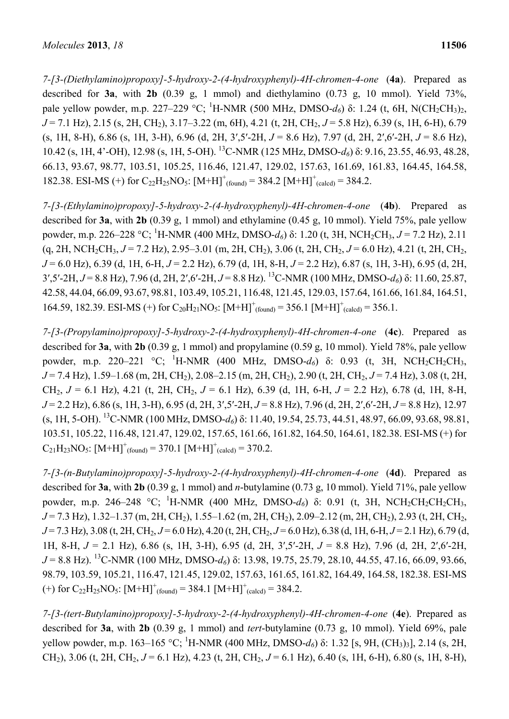*7-[3-(Diethylamino)propoxy]-5-hydroxy-2-(4-hydroxyphenyl)-4H-chromen-4-one* (**4a**). Prepared as described for **3a**, with **2b** (0.39 g, 1 mmol) and diethylamino (0.73 g, 10 mmol). Yield 73%, pale yellow powder, m.p. 227–229 °C; <sup>1</sup>H-NMR (500 MHz, DMSO-*d*<sub>6</sub>) δ: 1.24 (t, 6H, N(CH<sub>2</sub>CH<sub>3</sub>)<sub>2</sub>, *J* = 7.1 Hz), 2.15 (s, 2H, CH<sub>2</sub>), 3.17–3.22 (m, 6H), 4.21 (t, 2H, CH<sub>2</sub>, *J* = 5.8 Hz), 6.39 (s, 1H, 6-H), 6.79 (s, 1H, 8-H), 6.86 (s, 1H, 3-H), 6.96 (d, 2H, 3′,5′-2H, *J* = 8.6 Hz), 7.97 (d, 2H, 2′,6′-2H, *J* = 8.6 Hz), 10.42 (s, 1H, 4'-OH), 12.98 (s, 1H, 5-OH). 13C-NMR (125 MHz, DMSO-*d6*) δ: 9.16, 23.55, 46.93, 48.28, 66.13, 93.67, 98.77, 103.51, 105.25, 116.46, 121.47, 129.02, 157.63, 161.69, 161.83, 164.45, 164.58, 182.38. ESI-MS (+) for  $C_{22}H_{25}NO_5$ :  $[M+H]<sup>+</sup>_{(found)} = 384.2 [M+H]<sup>+</sup>_{(called)} = 384.2$ .

*7-[3-(Ethylamino)propoxy]-5-hydroxy-2-(4-hydroxyphenyl)-4H-chromen-4-one* (**4b**). Prepared as described for **3a**, with **2b** (0.39 g, 1 mmol) and ethylamine (0.45 g, 10 mmol). Yield 75%, pale yellow powder, m.p. 226–228 °C; 1 H-NMR (400 MHz, DMSO-*d6*) δ: 1.20 (t, 3H, NCH2CH3, *J* = 7.2 Hz), 2.11 (g, 2H, NCH<sub>2</sub>CH<sub>3</sub>,  $J = 7.2$  Hz), 2.95–3.01 (m, 2H, CH<sub>2</sub>), 3.06 (t, 2H, CH<sub>2</sub>,  $J = 6.0$  Hz), 4.21 (t, 2H, CH<sub>2</sub>, *J* = 6.0 Hz), 6.39 (d, 1H, 6-H, *J* = 2.2 Hz), 6.79 (d, 1H, 8-H, *J* = 2.2 Hz), 6.87 (s, 1H, 3-H), 6.95 (d, 2H, 3′,5′-2H, *J* = 8.8 Hz), 7.96 (d, 2H, 2′,6′-2H, *J* = 8.8 Hz). 13C-NMR (100 MHz, DMSO-*d6*) δ: 11.60, 25.87, 42.58, 44.04, 66.09, 93.67, 98.81, 103.49, 105.21, 116.48, 121.45, 129.03, 157.64, 161.66, 161.84, 164.51, 164.59, 182.39. ESI-MS (+) for  $C_{20}H_{21}NO_5$ :  $[M+H]<sup>+</sup>_{(found)} = 356.1 [M+H]<sup>+</sup>_{(called)} = 356.1$ .

*7-[3-(Propylamino)propoxy]-5-hydroxy-2-(4-hydroxyphenyl)-4H-chromen-4-one* (**4c**). Prepared as described for **3a**, with **2b** (0.39 g, 1 mmol) and propylamine (0.59 g, 10 mmol). Yield 78%, pale yellow powder, m.p. 220–221 °C; <sup>1</sup>H-NMR (400 MHz, DMSO-d<sub>6</sub>) δ: 0.93 (t, 3H, NCH<sub>2</sub>CH<sub>2</sub>CH<sub>3</sub>, *J* = 7.4 Hz), 1.59–1.68 (m, 2H, CH<sub>2</sub>), 2.08–2.15 (m, 2H, CH<sub>2</sub>), 2.90 (t, 2H, CH<sub>2</sub>, *J* = 7.4 Hz), 3.08 (t, 2H, CH<sub>2</sub>,  $J = 6.1$  Hz), 4.21 (t, 2H, CH<sub>2</sub>,  $J = 6.1$  Hz), 6.39 (d, 1H, 6-H,  $J = 2.2$  Hz), 6.78 (d, 1H, 8-H, *J* = 2.2 Hz), 6.86 (s, 1H, 3-H), 6.95 (d, 2H, 3′,5′-2H, *J* = 8.8 Hz), 7.96 (d, 2H, 2′,6′-2H, *J* = 8.8 Hz), 12.97 (s, 1H, 5-OH). 13C-NMR (100 MHz, DMSO-*d6*) δ: 11.40, 19.54, 25.73, 44.51, 48.97, 66.09, 93.68, 98.81, 103.51, 105.22, 116.48, 121.47, 129.02, 157.65, 161.66, 161.82, 164.50, 164.61, 182.38. ESI-MS (+) for  $C_{21}H_{23}NO_5$ :  $[M+H]^+_{(found)} = 370.1 [M+H]^+_{(calcd)} = 370.2$ .

*7-[3-(n-Butylamino)propoxy]-5-hydroxy-2-(4-hydroxyphenyl)-4H-chromen-4-one* (**4d**). Prepared as described for **3a**, with **2b** (0.39 g, 1 mmol) and *n*-butylamine (0.73 g, 10 mmol). Yield 71%, pale yellow powder, m.p. 246–248 °C; <sup>1</sup>H-NMR (400 MHz, DMSO-*d*<sub>6</sub>) δ: 0.91 (t, 3H, NCH<sub>2</sub>CH<sub>2</sub>CH<sub>2</sub>CH<sub>3</sub>, *J* = 7.3 Hz), 1.32–1.37 (m, 2H, CH2), 1.55–1.62 (m, 2H, CH2), 2.09–2.12 (m, 2H, CH2), 2.93 (t, 2H, CH2, *J* = 7.3 Hz), 3.08 (t, 2H, CH2, *J* = 6.0 Hz), 4.20 (t, 2H, CH2, *J* = 6.0 Hz), 6.38 (d, 1H, 6-H, *J* = 2.1 Hz), 6.79 (d, 1H, 8-H, *J* = 2.1 Hz), 6.86 (s, 1H, 3-H), 6.95 (d, 2H, 3′,5′-2H, *J* = 8.8 Hz), 7.96 (d, 2H, 2′,6′-2H, *J* = 8.8 Hz). 13C-NMR (100 MHz, DMSO-*d6*) δ: 13.98, 19.75, 25.79, 28.10, 44.55, 47.16, 66.09, 93.66, 98.79, 103.59, 105.21, 116.47, 121.45, 129.02, 157.63, 161.65, 161.82, 164.49, 164.58, 182.38. ESI-MS  $(+)$  for C<sub>22</sub>H<sub>25</sub>NO<sub>5</sub>:  $[M+H]_{(found)}^+ = 384.1 [M+H]_{(called)}^+ = 384.2$ .

*7-[3-(tert-Butylamino)propoxy]-5-hydroxy-2-(4-hydroxyphenyl)-4H-chromen-4-one* (**4e**). Prepared as described for **3a**, with **2b** (0.39 g, 1 mmol) and *tert*-butylamine (0.73 g, 10 mmol). Yield 69%, pale yellow powder, m.p. 163–165 °C; <sup>1</sup> H-NMR (400 MHz, DMSO-*d6*) δ: 1.32 [s, 9H, (CH3)3], 2.14 (s, 2H, CH2), 3.06 (t, 2H, CH2, *J* = 6.1 Hz), 4.23 (t, 2H, CH2, *J* = 6.1 Hz), 6.40 (s, 1H, 6-H), 6.80 (s, 1H, 8-H),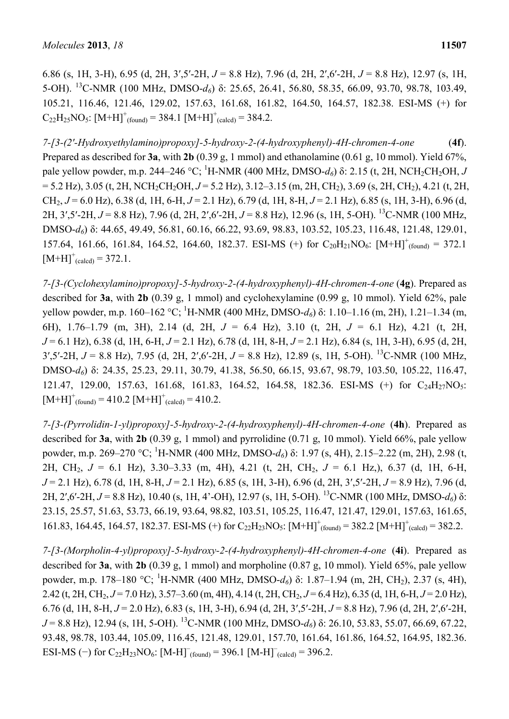6.86 (s, 1H, 3-H), 6.95 (d, 2H, 3′,5′-2H, *J* = 8.8 Hz), 7.96 (d, 2H, 2′,6′-2H, *J* = 8.8 Hz), 12.97 (s, 1H, 5-OH). 13C-NMR (100 MHz, DMSO-*d6*) δ: 25.65, 26.41, 56.80, 58.35, 66.09, 93.70, 98.78, 103.49, 105.21, 116.46, 121.46, 129.02, 157.63, 161.68, 161.82, 164.50, 164.57, 182.38. ESI-MS (+) for  $C_{22}H_{25}NO_5$ :  $[M+H]^+_{(found)} = 384.1 [M+H]^+_{(calcd)} = 384.2$ .

*7-[3-(2′-Hydroxyethylamino)propoxy]-5-hydroxy-2-(4-hydroxyphenyl)-4H-chromen-4-one* (**4f**). Prepared as described for **3a**, with **2b** (0.39 g, 1 mmol) and ethanolamine (0.61 g, 10 mmol). Yield 67%, pale yellow powder, m.p. 244–246 °C; <sup>1</sup>H-NMR (400 MHz, DMSO-*d*<sub>6</sub>) δ: 2.15 (t, 2H, NCH<sub>2</sub>CH<sub>2</sub>OH, *J*  $= 5.2$  Hz), 3.05 (t, 2H, NCH<sub>2</sub>CH<sub>2</sub>OH,  $J = 5.2$  Hz), 3.12–3.15 (m, 2H, CH<sub>2</sub>), 3.69 (s, 2H, CH<sub>2</sub>), 4.21 (t, 2H, CH2, *J* = 6.0 Hz), 6.38 (d, 1H, 6-H, *J* = 2.1 Hz), 6.79 (d, 1H, 8-H, *J* = 2.1 Hz), 6.85 (s, 1H, 3-H), 6.96 (d, 2H, 3′,5′-2H, *J* = 8.8 Hz), 7.96 (d, 2H, 2′,6′-2H, *J* = 8.8 Hz), 12.96 (s, 1H, 5-OH). 13C-NMR (100 MHz, DMSO-*d6*) δ: 44.65, 49.49, 56.81, 60.16, 66.22, 93.69, 98.83, 103.52, 105.23, 116.48, 121.48, 129.01, 157.64, 161.66, 161.84, 164.52, 164.60, 182.37. ESI-MS (+) for  $C_{20}H_{21}NO_6$ :  $[M+H]<sup>+</sup>_{(found)} = 372.1$  $[M+H]<sup>+</sup>$ <sub>(calcd)</sub> = 372.1.

*7-[3-(Cyclohexylamino)propoxy]-5-hydroxy-2-(4-hydroxyphenyl)-4H-chromen-4-one* (**4g**). Prepared as described for **3a**, with **2b** (0.39 g, 1 mmol) and cyclohexylamine (0.99 g, 10 mmol). Yield 62%, pale yellow powder, m.p. 160–162 °C; 1 H-NMR (400 MHz, DMSO-*d6*) δ: 1.10–1.16 (m, 2H), 1.21–1.34 (m, 6H), 1.76–1.79 (m, 3H), 2.14 (d, 2H, *J* = 6.4 Hz), 3.10 (t, 2H, *J* = 6.1 Hz), 4.21 (t, 2H, *J* = 6.1 Hz), 6.38 (d, 1H, 6-H, *J* = 2.1 Hz), 6.78 (d, 1H, 8-H, *J* = 2.1 Hz), 6.84 (s, 1H, 3-H), 6.95 (d, 2H, 3′,5′-2H, *J* = 8.8 Hz), 7.95 (d, 2H, 2′,6′-2H, *J* = 8.8 Hz), 12.89 (s, 1H, 5-OH). 13C-NMR (100 MHz, DMSO-*d6*) δ: 24.35, 25.23, 29.11, 30.79, 41.38, 56.50, 66.15, 93.67, 98.79, 103.50, 105.22, 116.47, 121.47, 129.00, 157.63, 161.68, 161.83, 164.52, 164.58, 182.36. ESI-MS (+) for C<sub>24</sub>H<sub>27</sub>NO<sub>5</sub>:  $[M+H]^+_{\text{(found)}} = 410.2 [M+H]^+_{\text{(calcd)}} = 410.2.$ 

*7-[3-(Pyrrolidin-1-yl)propoxy]-5-hydroxy-2-(4-hydroxyphenyl)-4H-chromen-4-one* (**4h**). Prepared as described for **3a**, with **2b** (0.39 g, 1 mmol) and pyrrolidine (0.71 g, 10 mmol). Yield 66%, pale yellow powder, m.p. 269–270 °C; <sup>1</sup>H-NMR (400 MHz, DMSO-*d*<sub>6</sub>) δ: 1.97 (s, 4H), 2.15–2.22 (m, 2H), 2.98 (t, 2H, CH2, *J* = 6.1 Hz), 3.30–3.33 (m, 4H), 4.21 (t, 2H, CH2, *J* = 6.1 Hz,), 6.37 (d, 1H, 6-H, *J* = 2.1 Hz), 6.78 (d, 1H, 8-H, *J* = 2.1 Hz), 6.85 (s, 1H, 3-H), 6.96 (d, 2H, 3′,5′-2H, *J* = 8.9 Hz), 7.96 (d, 2H, 2′,6′-2H, *J* = 8.8 Hz), 10.40 (s, 1H, 4'-OH), 12.97 (s, 1H, 5-OH). 13C-NMR (100 MHz, DMSO-*d6*) δ: 23.15, 25.57, 51.63, 53.73, 66.19, 93.64, 98.82, 103.51, 105.25, 116.47, 121.47, 129.01, 157.63, 161.65, 161.83, 164.45, 164.57, 182.37. ESI-MS (+) for  $C_{22}H_{23}NO_5$ :  $[M+H]<sup>+</sup>_{(found)} = 382.2 [M+H]<sup>+</sup>_{(calcd)} = 382.2$ .

*7-[3-(Morpholin-4-yl)propoxy]-5-hydroxy-2-(4-hydroxyphenyl)-4H-chromen-4-one* (**4i**). Prepared as described for **3a**, with **2b** (0.39 g, 1 mmol) and morpholine (0.87 g, 10 mmol). Yield 65%, pale yellow powder, m.p. 178–180 °C; <sup>1</sup>H-NMR (400 MHz, DMSO-d<sub>6</sub>) δ: 1.87–1.94 (m, 2H, CH<sub>2</sub>), 2.37 (s, 4H), 2.42 (t, 2H, CH<sub>2</sub>,  $J = 7.0$  Hz), 3.57–3.60 (m, 4H), 4.14 (t, 2H, CH<sub>2</sub>,  $J = 6.4$  Hz), 6.35 (d, 1H, 6-H,  $J = 2.0$  Hz), 6.76 (d, 1H, 8-H, *J* = 2.0 Hz), 6.83 (s, 1H, 3-H), 6.94 (d, 2H, 3′,5′-2H, *J* = 8.8 Hz), 7.96 (d, 2H, 2′,6′-2H, *J* = 8.8 Hz), 12.94 (s, 1H, 5-OH). 13C-NMR (100 MHz, DMSO-*d6*) δ: 26.10, 53.83, 55.07, 66.69, 67.22, 93.48, 98.78, 103.44, 105.09, 116.45, 121.48, 129.01, 157.70, 161.64, 161.86, 164.52, 164.95, 182.36. ESI-MS (−) for  $C_{22}H_{23}NO_6$ :  $[M-H]_{(found)} = 396.1 [M-H]_{(called)} = 396.2$ .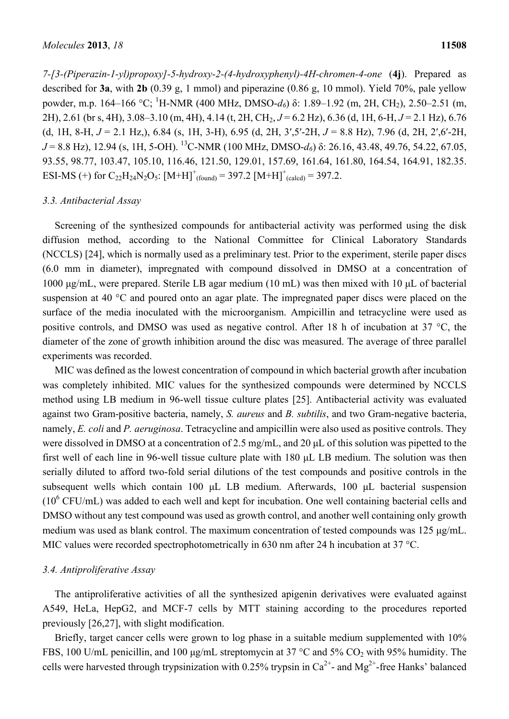*7-[3-(Piperazin-1-yl)propoxy]-5-hydroxy-2-(4-hydroxyphenyl)-4H-chromen-4-one* (**4j**). Prepared as described for **3a**, with **2b** (0.39 g, 1 mmol) and piperazine (0.86 g, 10 mmol). Yield 70%, pale yellow powder, m.p. 164–166 °C; <sup>1</sup>H-NMR (400 MHz, DMSO-*d*<sub>6</sub>) δ: 1.89–1.92 (m, 2H, CH<sub>2</sub>), 2.50–2.51 (m, 2H), 2.61 (br s, 4H), 3.08–3.10 (m, 4H), 4.14 (t, 2H, CH2, *J* = 6.2 Hz), 6.36 (d, 1H, 6-H, *J* = 2.1 Hz), 6.76 (d, 1H, 8-H, *J* = 2.1 Hz,), 6.84 (s, 1H, 3-H), 6.95 (d, 2H, 3′,5′-2H, *J* = 8.8 Hz), 7.96 (d, 2H, 2′,6′-2H, *J* = 8.8 Hz), 12.94 (s, 1H, 5-OH). 13C-NMR (100 MHz, DMSO-*d6*) δ: 26.16, 43.48, 49.76, 54.22, 67.05, 93.55, 98.77, 103.47, 105.10, 116.46, 121.50, 129.01, 157.69, 161.64, 161.80, 164.54, 164.91, 182.35. ESI-MS (+) for  $C_{22}H_{24}N_2O_5$ :  $[M+H]^+_{(found)} = 397.2 [M+H]^+_{(called)} = 397.2$ .

#### *3.3. Antibacterial Assay*

Screening of the synthesized compounds for antibacterial activity was performed using the disk diffusion method, according to the National Committee for Clinical Laboratory Standards (NCCLS) [24], which is normally used as a preliminary test. Prior to the experiment, sterile paper discs (6.0 mm in diameter), impregnated with compound dissolved in DMSO at a concentration of 1000 μg/mL, were prepared. Sterile LB agar medium (10 mL) was then mixed with 10 μL of bacterial suspension at 40 °C and poured onto an agar plate. The impregnated paper discs were placed on the surface of the media inoculated with the microorganism. Ampicillin and tetracycline were used as positive controls, and DMSO was used as negative control. After 18 h of incubation at 37 °C, the diameter of the zone of growth inhibition around the disc was measured. The average of three parallel experiments was recorded.

MIC was defined as the lowest concentration of compound in which bacterial growth after incubation was completely inhibited. MIC values for the synthesized compounds were determined by NCCLS method using LB medium in 96-well tissue culture plates [25]. Antibacterial activity was evaluated against two Gram-positive bacteria, namely, *S. aureus* and *B. subtilis*, and two Gram-negative bacteria, namely, *E. coli* and *P. aeruginosa*. Tetracycline and ampicillin were also used as positive controls. They were dissolved in DMSO at a concentration of 2.5 mg/mL, and 20 μL of this solution was pipetted to the first well of each line in 96-well tissue culture plate with 180 μL LB medium. The solution was then serially diluted to afford two-fold serial dilutions of the test compounds and positive controls in the subsequent wells which contain 100 μL LB medium. Afterwards, 100 μL bacterial suspension  $(10^6 \text{ CFU/mL})$  was added to each well and kept for incubation. One well containing bacterial cells and DMSO without any test compound was used as growth control, and another well containing only growth medium was used as blank control. The maximum concentration of tested compounds was 125 μg/mL. MIC values were recorded spectrophotometrically in 630 nm after 24 h incubation at 37 °C.

#### *3.4. Antiproliferative Assay*

The antiproliferative activities of all the synthesized apigenin derivatives were evaluated against A549, HeLa, HepG2, and MCF-7 cells by MTT staining according to the procedures reported previously [26,27], with slight modification.

Briefly, target cancer cells were grown to log phase in a suitable medium supplemented with 10% FBS, 100 U/mL penicillin, and 100 μg/mL streptomycin at 37 °C and 5% CO2 with 95% humidity. The cells were harvested through trypsinization with 0.25% trypsin in  $Ca^{2+}$ - and Mg<sup>2+</sup>-free Hanks' balanced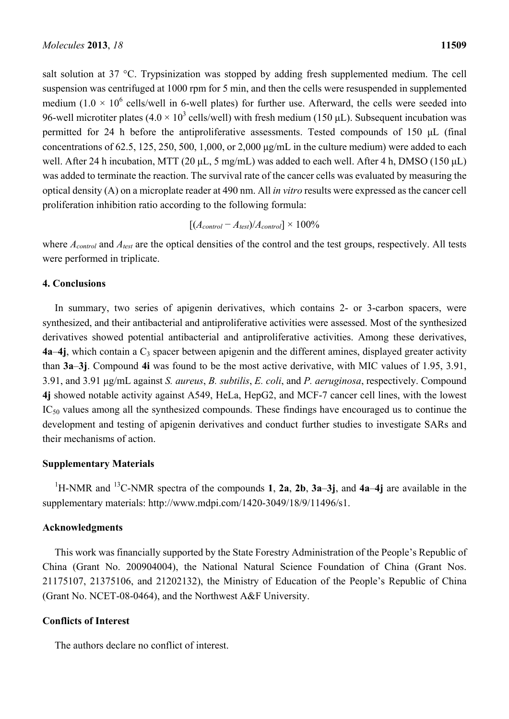salt solution at 37 °C. Trypsinization was stopped by adding fresh supplemented medium. The cell suspension was centrifuged at 1000 rpm for 5 min, and then the cells were resuspended in supplemented medium  $(1.0 \times 10^6 \text{ cells/well in } 6$ -well plates) for further use. Afterward, the cells were seeded into 96-well microtiter plates (4.0  $\times$  10<sup>3</sup> cells/well) with fresh medium (150 µL). Subsequent incubation was permitted for 24 h before the antiproliferative assessments. Tested compounds of 150 μL (final concentrations of 62.5, 125, 250, 500, 1,000, or 2,000 μg/mL in the culture medium) were added to each well. After 24 h incubation, MTT (20 μL, 5 mg/mL) was added to each well. After 4 h, DMSO (150 μL) was added to terminate the reaction. The survival rate of the cancer cells was evaluated by measuring the optical density (A) on a microplate reader at 490 nm. All *in vitro* results were expressed as the cancer cell proliferation inhibition ratio according to the following formula:

$$
[(A_{control} - A_{test})/A_{control}] \times 100\%
$$

where  $A_{control}$  and  $A_{test}$  are the optical densities of the control and the test groups, respectively. All tests were performed in triplicate.

## **4. Conclusions**

In summary, two series of apigenin derivatives, which contains 2- or 3-carbon spacers, were synthesized, and their antibacterial and antiproliferative activities were assessed. Most of the synthesized derivatives showed potential antibacterial and antiproliferative activities. Among these derivatives,  $4a-4j$ , which contain a  $C_3$  spacer between apigenin and the different amines, displayed greater activity than **3a**–**3j**. Compound **4i** was found to be the most active derivative, with MIC values of 1.95, 3.91, 3.91, and 3.91 μg/mL against *S. aureus*, *B. subtilis*, *E. coli*, and *P. aeruginosa*, respectively. Compound **4j** showed notable activity against A549, HeLa, HepG2, and MCF-7 cancer cell lines, with the lowest  $IC_{50}$  values among all the synthesized compounds. These findings have encouraged us to continue the development and testing of apigenin derivatives and conduct further studies to investigate SARs and their mechanisms of action.

## **Supplementary Materials**

1 H-NMR and 13C-NMR spectra of the compounds **1**, **2a**, **2b**, **3a**–**3j**, and **4a**–**4j** are available in the supplementary materials: http://www.mdpi.com/1420-3049/18/9/11496/s1.

## **Acknowledgments**

This work was financially supported by the State Forestry Administration of the People's Republic of China (Grant No. 200904004), the National Natural Science Foundation of China (Grant Nos. 21175107, 21375106, and 21202132), the Ministry of Education of the People's Republic of China (Grant No. NCET-08-0464), and the Northwest A&F University.

## **Conflicts of Interest**

The authors declare no conflict of interest.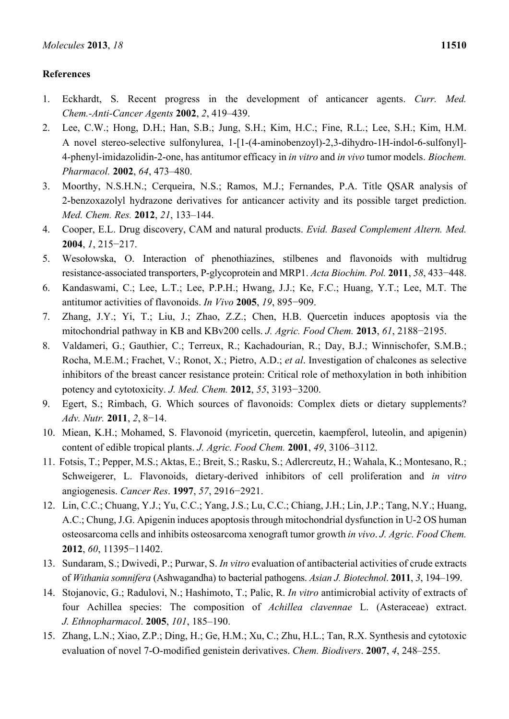## **References**

- 1. Eckhardt, S. Recent progress in the development of anticancer agents. *Curr. Med. Chem.-Anti-Cancer Agents* **2002**, *2*, 419–439.
- 2. Lee, C.W.; Hong, D.H.; Han, S.B.; Jung, S.H.; Kim, H.C.; Fine, R.L.; Lee, S.H.; Kim, H.M. A novel stereo-selective sulfonylurea, 1-[1-(4-aminobenzoyl)-2,3-dihydro-1H-indol-6-sulfonyl]- 4-phenyl-imidazolidin-2-one, has antitumor efficacy in *in vitro* and *in vivo* tumor models. *Biochem. Pharmacol.* **2002**, *64*, 473–480.
- 3. Moorthy, N.S.H.N.; Cerqueira, N.S.; Ramos, M.J.; Fernandes, P.A. Title QSAR analysis of 2-benzoxazolyl hydrazone derivatives for anticancer activity and its possible target prediction. *Med. Chem. Res.* **2012**, *21*, 133–144.
- 4. Cooper, E.L. Drug discovery, CAM and natural products. *Evid. Based Complement Altern. Med.* **2004**, *1*, 215−217.
- 5. Wesołowska, O. Interaction of phenothiazines, stilbenes and flavonoids with multidrug resistance-associated transporters, P-glycoprotein and MRP1. *Acta Biochim. Pol.* **2011**, *58*, 433−448.
- 6. Kandaswami, C.; Lee, L.T.; Lee, P.P.H.; Hwang, J.J.; Ke, F.C.; Huang, Y.T.; Lee, M.T. The antitumor activities of flavonoids. *In Vivo* **2005**, *19*, 895−909.
- 7. Zhang, J.Y.; Yi, T.; Liu, J.; Zhao, Z.Z.; Chen, H.B. Quercetin induces apoptosis via the mitochondrial pathway in KB and KBv200 cells. *J. Agric. Food Chem.* **2013**, *61*, 2188−2195.
- 8. Valdameri, G.; Gauthier, C.; Terreux, R.; Kachadourian, R.; Day, B.J.; Winnischofer, S.M.B.; Rocha, M.E.M.; Frachet, V.; Ronot, X.; Pietro, A.D.; *et al*. Investigation of chalcones as selective inhibitors of the breast cancer resistance protein: Critical role of methoxylation in both inhibition potency and cytotoxicity. *J. Med. Chem.* **2012**, *55*, 3193−3200.
- 9. Egert, S.; Rimbach, G. Which sources of flavonoids: Complex diets or dietary supplements? *Adv. Nutr.* **2011**, *2*, 8−14.
- 10. Miean, K.H.; Mohamed, S. Flavonoid (myricetin, quercetin, kaempferol, luteolin, and apigenin) content of edible tropical plants. *J. Agric. Food Chem.* **2001**, *49*, 3106–3112.
- 11. Fotsis, T.; Pepper, M.S.; Aktas, E.; Breit, S.; Rasku, S.; Adlercreutz, H.; Wahala, K.; Montesano, R.; Schweigerer, L. Flavonoids, dietary-derived inhibitors of cell proliferation and *in vitro* angiogenesis. *Cancer Res*. **1997**, *57*, 2916−2921.
- 12. Lin, C.C.; Chuang, Y.J.; Yu, C.C.; Yang, J.S.; Lu, C.C.; Chiang, J.H.; Lin, J.P.; Tang, N.Y.; Huang, A.C.; Chung, J.G. Apigenin induces apoptosis through mitochondrial dysfunction in U-2 OS human osteosarcoma cells and inhibits osteosarcoma xenograft tumor growth *in vivo*. *J. Agric. Food Chem.*  **2012**, *60*, 11395−11402.
- 13. Sundaram, S.; Dwivedi, P.; Purwar, S. *In vitro* evaluation of antibacterial activities of crude extracts of *Withania somnifera* (Ashwagandha) to bacterial pathogens. *Asian J. Biotechnol*. **2011**, *3*, 194–199.
- 14. Stojanovic, G.; Radulovi, N.; Hashimoto, T.; Palic, R. *In vitro* antimicrobial activity of extracts of four Achillea species: The composition of *Achillea clavennae* L. (Asteraceae) extract. *J. Ethnopharmacol*. **2005**, *101*, 185–190.
- 15. Zhang, L.N.; Xiao, Z.P.; Ding, H.; Ge, H.M.; Xu, C.; Zhu, H.L.; Tan, R.X. Synthesis and cytotoxic evaluation of novel 7-O-modified genistein derivatives. *Chem. Biodivers*. **2007**, *4*, 248–255.